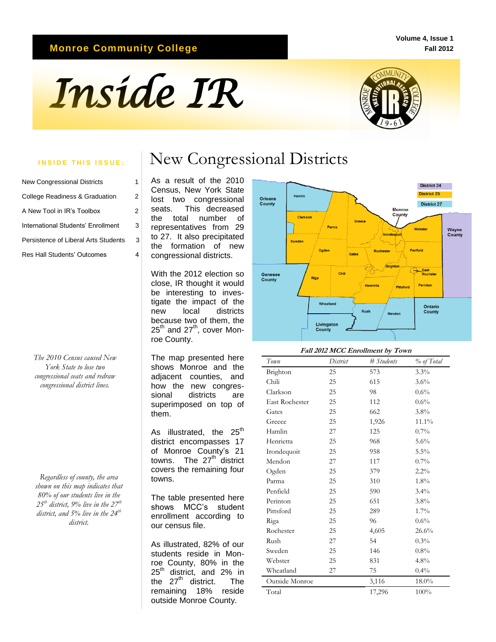## **Monroe Community College**

#### **Volume 4, Issue 1 Fall 2012**

# *Inside IR*



| <b>New Congressional Districts</b>   |   |
|--------------------------------------|---|
| College Readiness & Graduation       | 2 |
| A New Tool in IR's Toolbox           | 2 |
| International Students' Enrollment   | 3 |
| Persistence of Liberal Arts Students | 3 |
| <b>Res Hall Students' Outcomes</b>   |   |

*The 2010 Census caused New York State to lose two congressional seats and redraw congressional district lines.*

*Regardless of county, the area shown on this map indicates that 80% of our students live in the 25th district, 9% live in the 27th district, and 5% live in the 24th district.*

## **INSIDE THIS ISSUE:** | New Congressional Districts

 the total number of As a result of the 2010 Census, New York State lost two congressional seats. This decreased representatives from 29 to 27. It also precipitated the formation of new congressional districts.

With the 2012 election so close, IR thought it would be interesting to investigate the impact of the new local districts because two of them, the  $25^{\text{th}}$  and  $27^{\text{th}}$ , cover Monroe County.

The map presented here shows Monroe and the adjacent counties, and how the new congressional districts are superimposed on top of them.

As illustrated, the  $25<sup>th</sup>$ district encompasses 17 of Monroe County's 21 towns. The  $27<sup>th</sup>$  district covers the remaining four towns.

The table presented here shows MCC's student enrollment according to our census file.

As illustrated, 82% of our students reside in Monroe County, 80% in the  $25^{\text{th}}$  district, and 2% in the  $27^{\text{th}}$  district. The the  $27<sup>th</sup>$  district. remaining 18% reside outside Monroe County.



#### **Fall 2012 MCC Enrollment by Town**

| Town           | District | # Students | % of Total |
|----------------|----------|------------|------------|
| Brighton       | 25       | 573        | 3.3%       |
| Chili          | 25       | 615        | 3.6%       |
| Clarkson       | 25       | 98         | $0.6\%$    |
| East Rochester | 25       | 112        | $0.6\%$    |
| Gates          | 25       | 662        | $3.8\%$    |
| Greece         | 25       | 1,926      | 11.1%      |
| Hamlin         | 27       | 125        | $0.7\%$    |
| Henrietta      | 25       | 968        | 5.6%       |
| Irondequoit    | 25       | 958        | 5.5%       |
| Mendon         | 27       | 117        | 0.7%       |
| Ogden          | 25       | 379        | $2.2\%$    |
| Parma          | 25       | 310        | 1.8%       |
| Penfield       | 25       | 590        | $3.4\%$    |
| Perinton       | 25       | 651        | $3.8\%$    |
| Pittsford      | 25       | 289        | $1.7\%$    |
| Riga           | 25       | 96         | $0.6\%$    |
| Rochester      | 25       | 4,605      | 26.6%      |
| Rush           | 27       | 54         | 0.3%       |
| Sweden         | 25       | 146        | $0.8\%$    |
| Webster        | 25       | 831        | 4.8%       |
| Wheatland      | 27       | 75         | $0.4\%$    |
| Outside Monroe |          | 3,116      | 18.0%      |
| Total          |          | 17,296     | 100%       |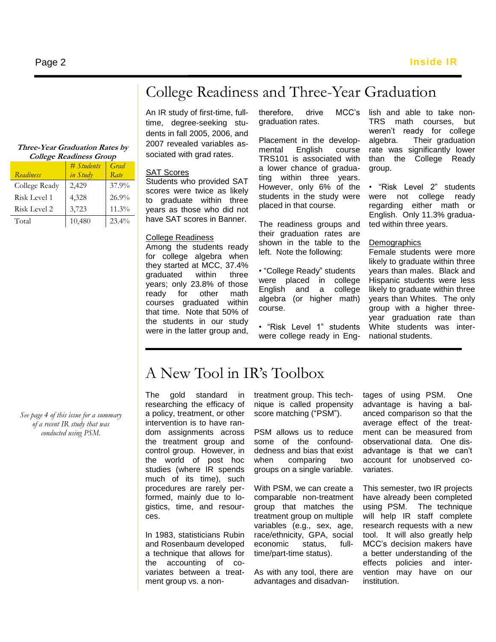# College Readiness and Three-Year Graduation

#### **Three-Year Graduation Rates by College Readiness Group**

|               | # <i>Students</i> | Grad     |
|---------------|-------------------|----------|
| Readiness     | in Study          | Rate     |
| College Ready | 2,429             | 37.9%    |
| Risk Level 1  | 4,328             | 26.9%    |
| Risk Level 2  | 3,723             | 11.3%    |
| Total         | 10,480            | $23.4\%$ |

An IR study of first-time, fulltime, degree-seeking students in fall 2005, 2006, and 2007 revealed variables associated with grad rates.

#### SAT Scores

Students who provided SAT scores were twice as likely to graduate within three years as those who did not have SAT scores in Banner.

### College Readiness

Among the students ready for college algebra when they started at MCC, 37.4% graduated within three years; only 23.8% of those ready for other math courses graduated within that time. Note that 50% of the students in our study were in the latter group and, therefore, drive MCC's graduation rates.

Placement in the developmental English course TRS101 is associated with a lower chance of graduating within three years. However, only 6% of the students in the study were placed in that course.

The readiness groups and their graduation rates are shown in the table to the left. Note the following:

• "College Ready" students were placed in college English and a college algebra (or higher math) course.

• "Risk Level 1" students were college ready in English and able to take non-TRS math courses, but weren't ready for college algebra. Their graduation rate was significantly lower than the College Ready group.

• "Risk Level 2" students were not college ready regarding either math or English. Only 11.3% graduated within three years.

### **Demographics**

Female students were more likely to graduate within three years than males. Black and Hispanic students were less likely to graduate within three years than Whites. The only group with a higher threeyear graduation rate than White students was international students.

*See page 4 of this issue for a summary of a recent IR study that was conducted using PSM.*

# A New Tool in IR's Toolbox

The gold standard in researching the efficacy of a policy, treatment, or other intervention is to have random assignments across the treatment group and control group. However, in the world of post hoc studies (where IR spends much of its time), such procedures are rarely performed, mainly due to logistics, time, and resources.

In 1983, statisticians Rubin and Rosenbaum developed a technique that allows for the accounting of covariates between a treatment group vs. a nontreatment group. This technique is called propensity score matching ("PSM").

PSM allows us to reduce some of the confounddedness and bias that exist when comparing two groups on a single variable.

With PSM, we can create a comparable non-treatment group that matches the treatment group on multiple variables (e.g., sex, age, race/ethnicity, GPA, social economic status, fulltime/part-time status).

As with any tool, there are advantages and disadvantages of using PSM. One advantage is having a balanced comparison so that the average effect of the treatment can be measured from observational data. One disadvantage is that we can't account for unobserved covariates.

This semester, two IR projects have already been completed using PSM. The technique will help IR staff complete research requests with a new tool. It will also greatly help MCC's decision makers have a better understanding of the effects policies and intervention may have on our institution.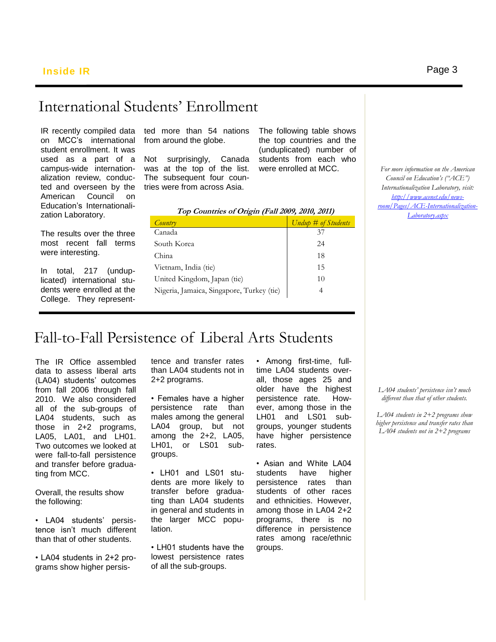## International Students' Enrollment

IR recently compiled data on MCC's international student enrollment. It was used as a part of a campus-wide internationalization review, conducted and overseen by the American Council on Education's Internationalization Laboratory.

The results over the three most recent fall terms were interesting.

In total, 217 (unduplicated) international students were enrolled at the College. They representted more than 54 nations from around the globe.

Not surprisingly, Canada was at the top of the list. The subsequent four countries were from across Asia.

The following table shows the top countries and the (unduplicated) number of students from each who were enrolled at MCC.

| Top Countries of Origin (Fall 2009, 2010, 2011) |                     |  |  |
|-------------------------------------------------|---------------------|--|--|
| Country                                         | Undup # of Students |  |  |
| Canada                                          | 37                  |  |  |
| South Korea                                     | 24                  |  |  |
| China                                           | 18                  |  |  |
| Vietnam, India (tie)                            | 15                  |  |  |
| United Kingdom, Japan (tie)                     | 10                  |  |  |
| Nigeria, Jamaica, Singapore, Turkey (tie)       |                     |  |  |
|                                                 |                     |  |  |

*For more information on the American Council on Education's ("ACE") Internationalization Laboratory, visit: [http://www.acenet.edu/news](http://www.acenet.edu/news-room/Pages/ACE-Internationalization-Laboratory.aspx)[room/Pages/ACE-Internationalization-](http://www.acenet.edu/news-room/Pages/ACE-Internationalization-Laboratory.aspx)[Laboratory.aspx](http://www.acenet.edu/news-room/Pages/ACE-Internationalization-Laboratory.aspx)*

## Fall-to-Fall Persistence of Liberal Arts Students

 and transfer before gradua-The IR Office assembled data to assess liberal arts (LA04) students' outcomes from fall 2006 through fall 2010. We also considered all of the sub-groups of LA04 students, such as those in 2+2 programs, LA05, LA01, and LH01. Two outcomes we looked at were fall-to-fall persistence ting from MCC.

Overall, the results show the following:

• LA04 students' persistence isn't much different than that of other students.

• LA04 students in 2+2 programs show higher persistence and transfer rates than LA04 students not in 2+2 programs.

• Females have a higher persistence rate than males among the general LA04 group, but not among the 2+2, LA05, LH01, or LS01 subgroups.

• LH01 and LS01 students are more likely to transfer before graduating than LA04 students in general and students in the larger MCC population.

• LH01 students have the lowest persistence rates of all the sub-groups.

• Among first-time, fulltime LA04 students overall, those ages 25 and older have the highest persistence rate. However, among those in the LH01 and LS01 subgroups, younger students have higher persistence rates.

• Asian and White LA04 students have higher persistence rates than students of other races and ethnicities. However, among those in LA04 2+2 programs, there is no difference in persistence rates among race/ethnic groups.

*LA04 students' persistence isn't much different than that of other students.*

*LA04 students in 2+2 programs show higher persistence and transfer rates than LA04 students not in 2+2 programs*